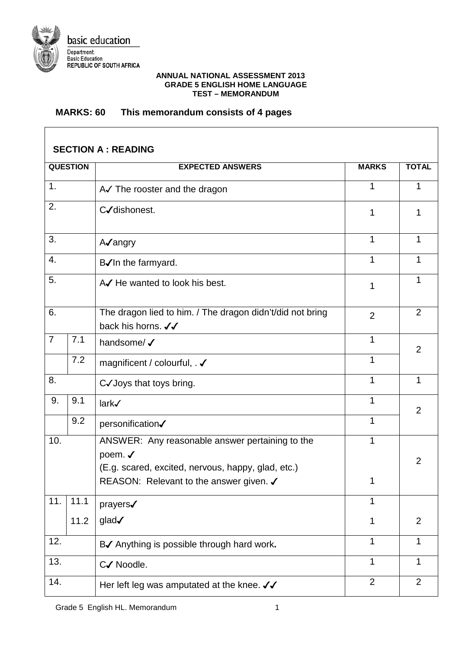

## **ANNUAL NATIONAL ASSESSMENT 2013 GRADE 5 ENGLISH HOME LANGUAGE TEST – MEMORANDUM**

## **MARKS: 60 This memorandum consists of 4 pages**

| <b>SECTION A : READING</b> |      |                                                                                                                                                                        |                |                |  |
|----------------------------|------|------------------------------------------------------------------------------------------------------------------------------------------------------------------------|----------------|----------------|--|
| <b>QUESTION</b>            |      | <b>EXPECTED ANSWERS</b>                                                                                                                                                | <b>MARKS</b>   | <b>TOTAL</b>   |  |
| 1.                         |      | A√ The rooster and the dragon                                                                                                                                          | 1              | 1              |  |
| 2.                         |      | C/dishonest.                                                                                                                                                           | 1              | 1              |  |
| 3.                         |      | A√angry                                                                                                                                                                | 1              | 1              |  |
| 4.                         |      | B√In the farmyard.                                                                                                                                                     | 1              |                |  |
| 5.                         |      | A He wanted to look his best.<br>1                                                                                                                                     |                |                |  |
| 6.                         |      | The dragon lied to him. / The dragon didn't/did not bring<br>$\overline{2}$<br>back his horns. √√                                                                      |                | 2              |  |
| $\overline{7}$             | 7.1  | handsome/ V                                                                                                                                                            | $\mathbf{1}$   | $\overline{2}$ |  |
|                            | 7.2  | magnificent / colourful, . ✔                                                                                                                                           | 1              |                |  |
| 8.                         |      | C√Joys that toys bring.                                                                                                                                                | 1              | 1              |  |
| 9.                         | 9.1  | lark√                                                                                                                                                                  | 1              | 2              |  |
|                            | 9.2  | personification√                                                                                                                                                       | 1              |                |  |
| 10.                        |      | ANSWER: Any reasonable answer pertaining to the<br>poem. $\checkmark$<br>(E.g. scared, excited, nervous, happy, glad, etc.)<br>REASON: Relevant to the answer given. ✔ | 1<br>1         | 2              |  |
| 11.                        | 11.1 | prayers√                                                                                                                                                               | 1              |                |  |
|                            | 11.2 | glad√                                                                                                                                                                  | 1              | 2              |  |
| 12.                        |      | B√ Anything is possible through hard work.                                                                                                                             | 1              |                |  |
| 13.                        |      | C√ Noodle.                                                                                                                                                             | 1              | 1              |  |
| 14.                        |      | Her left leg was amputated at the knee. $\checkmark\checkmark$                                                                                                         | $\overline{2}$ | 2              |  |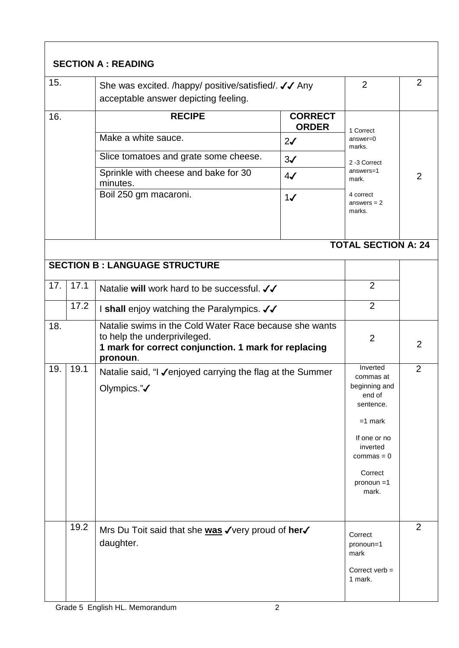| <b>SECTION A: READING</b>            |                                                                                              |                                                                                                                                                            |                        |                                                                                                                                                             |                |  |
|--------------------------------------|----------------------------------------------------------------------------------------------|------------------------------------------------------------------------------------------------------------------------------------------------------------|------------------------|-------------------------------------------------------------------------------------------------------------------------------------------------------------|----------------|--|
| 15.                                  | She was excited. /happy/ positive/satisfied/. √√ Any<br>acceptable answer depicting feeling. |                                                                                                                                                            |                        | $\overline{2}$                                                                                                                                              | $\overline{2}$ |  |
| 16.                                  |                                                                                              | <b>RECIPE</b>                                                                                                                                              | 1 Correct              |                                                                                                                                                             |                |  |
|                                      |                                                                                              | Make a white sauce.                                                                                                                                        | $answer = 0$<br>marks. |                                                                                                                                                             |                |  |
|                                      |                                                                                              | Slice tomatoes and grate some cheese.<br>$3\checkmark$                                                                                                     |                        | 2-3 Correct                                                                                                                                                 |                |  |
|                                      |                                                                                              | Sprinkle with cheese and bake for 30<br>minutes.                                                                                                           | $4\sqrt{ }$            | answers=1<br>mark.                                                                                                                                          | 2              |  |
|                                      |                                                                                              | Boil 250 gm macaroni.<br>1/<br>marks.                                                                                                                      |                        | 4 correct<br>answers $= 2$                                                                                                                                  |                |  |
| <b>TOTAL SECTION A: 24</b>           |                                                                                              |                                                                                                                                                            |                        |                                                                                                                                                             |                |  |
| <b>SECTION B: LANGUAGE STRUCTURE</b> |                                                                                              |                                                                                                                                                            |                        |                                                                                                                                                             |                |  |
| 17.                                  | 17.1                                                                                         | Natalie will work hard to be successful. √                                                                                                                 |                        | $\overline{2}$                                                                                                                                              |                |  |
|                                      | 17.2                                                                                         | I shall enjoy watching the Paralympics. √√                                                                                                                 | $\overline{2}$         |                                                                                                                                                             |                |  |
| 18.                                  |                                                                                              | Natalie swims in the Cold Water Race because she wants<br>to help the underprivileged.<br>1 mark for correct conjunction. 1 mark for replacing<br>pronoun. | 2                      | 2                                                                                                                                                           |                |  |
| 19.                                  | 19.1                                                                                         | Natalie said, "I √enjoyed carrying the flag at the Summer<br>Olympics."√                                                                                   |                        | Inverted<br>commas at<br>beginning and<br>end of<br>sentence.<br>$=1$ mark<br>If one or no<br>inverted<br>$commas = 0$<br>Correct<br>$pronoun = 1$<br>mark. | $\overline{2}$ |  |
|                                      | 19.2                                                                                         | Mrs Du Toit said that she was √very proud of her√<br>daughter.                                                                                             |                        | Correct<br>pronoun=1<br>mark<br>Correct verb $=$<br>1 mark.                                                                                                 | 2              |  |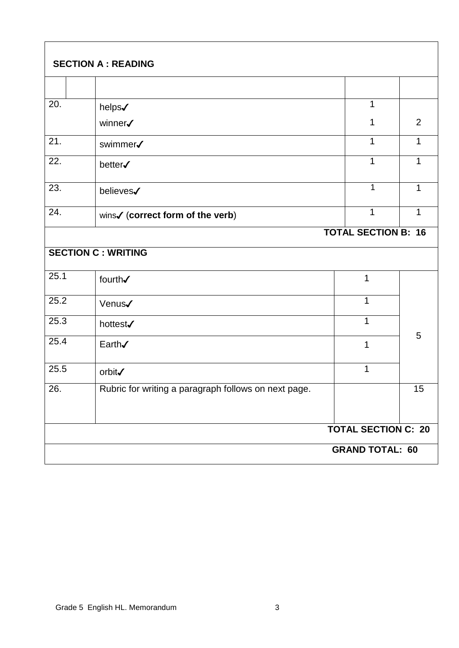|                            | <b>SECTION A : READING</b>                           |  |                            |    |  |  |
|----------------------------|------------------------------------------------------|--|----------------------------|----|--|--|
|                            |                                                      |  |                            |    |  |  |
| 20.                        | helps√                                               |  | 1                          |    |  |  |
|                            | winner√                                              |  | 1                          | 2  |  |  |
| 21.                        | swimmer√                                             |  | 1                          | 1  |  |  |
| 22.                        | better√                                              |  | 1                          | 1  |  |  |
| 23.                        | believes√                                            |  | $\mathbf{1}$               | 1  |  |  |
| 24.                        | wins√ (correct form of the verb)                     |  | 1                          | 1  |  |  |
| <b>TOTAL SECTION B: 16</b> |                                                      |  |                            |    |  |  |
|                            | <b>SECTION C: WRITING</b>                            |  |                            |    |  |  |
| 25.1                       | fourth√                                              |  | 1                          |    |  |  |
| 25.2                       | Venus <b>/</b>                                       |  | $\mathbf{1}$               |    |  |  |
| 25.3                       | hottest√                                             |  | $\mathbf{1}$               |    |  |  |
| 25.4                       | Earth√                                               |  | 1                          | 5  |  |  |
| 25.5                       | orbit√                                               |  | 1                          |    |  |  |
| 26.                        | Rubric for writing a paragraph follows on next page. |  |                            | 15 |  |  |
|                            |                                                      |  | <b>TOTAL SECTION C: 20</b> |    |  |  |
| <b>GRAND TOTAL: 60</b>     |                                                      |  |                            |    |  |  |